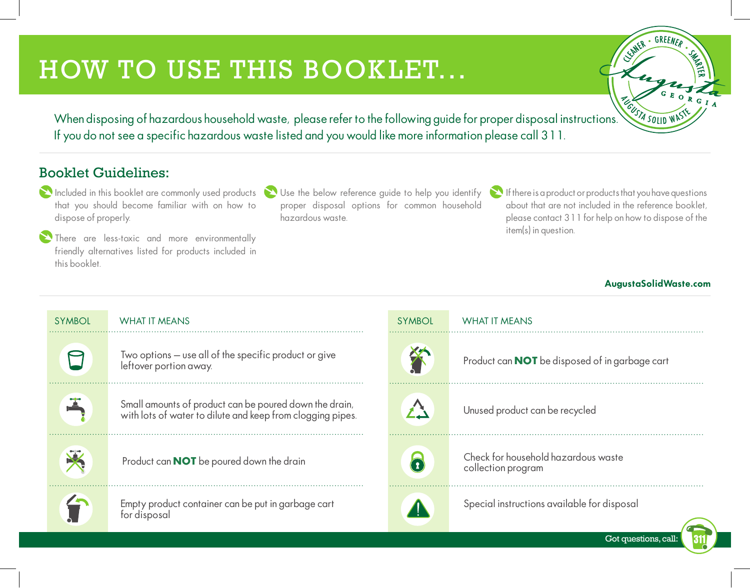# HOW TO USE THIS BOOKLET...



When disposing of hazardous household waste, please refer to the following guide for proper disposal instructions. Nother what If you do not see a specific hazardous waste listed and you would like more information please call 311.

#### Booklet Guidelines:

- $\sum$  Included in this booklet are commonly used products that you should become familiar with on how to dispose of properly.
- There are less-toxic and more environmentally friendly alternatives listed for products included in this booklet.
- Use the below reference guide to help you identify proper disposal options for common household hazardous waste.
	- $\sum$  If there is a product or products that you have questions about that are not included in the reference booklet, please contact 311 for help on how to dispose of the item(s) in question.

#### AugustaSolidWaste.com

Got questions, call:

| <b>SYMBOL</b> | WHAT IT MEANS                                                                                                        | <b>SYMBOL</b> | WHAT IT MEANS                                             |
|---------------|----------------------------------------------------------------------------------------------------------------------|---------------|-----------------------------------------------------------|
|               | Two options - use all of the specific product or give<br>leftover portion away.                                      |               | Product can <b>NOT</b> be disposed of in garbage cart     |
|               | Small amounts of product can be poured down the drain,<br>with lots of water to dilute and keep from clogging pipes. |               | Unused product can be recycled                            |
|               | Product can <b>NOT</b> be poured down the drain                                                                      |               | Check for household hazardous waste<br>collection program |
|               | Empty product container can be put in garbage cart<br>for disposal                                                   |               | Special instructions available for disposal               |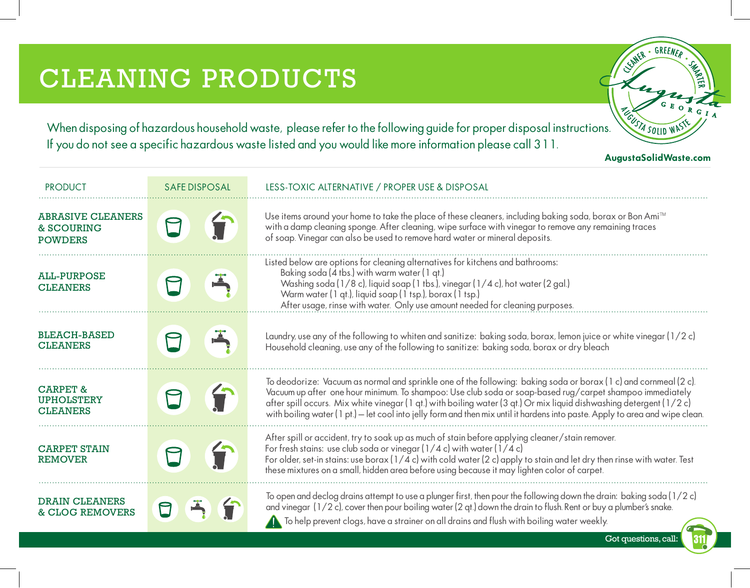# CLEANING PRODUCTS

SUNTR - GREENER

When disposing of hazardous household waste, please refer to the following guide for proper disposal instructions. Next solly what If you do not see a specific hazardous waste listed and you would like more information please call 311.

AugustaSolidWaste.com

| <b>PRODUCT</b>                                              | <b>SAFE DISPOSAL</b> | LESS-TOXIC ALTERNATIVE / PROPER USE & DISPOSAL                                                                                                                                                                                                                                                                                                                                                                                                                                        |
|-------------------------------------------------------------|----------------------|---------------------------------------------------------------------------------------------------------------------------------------------------------------------------------------------------------------------------------------------------------------------------------------------------------------------------------------------------------------------------------------------------------------------------------------------------------------------------------------|
| <b>ABRASIVE CLEANERS</b><br>& SCOURING<br><b>POWDERS</b>    |                      | Use items around your home to take the place of these cleaners, including baking soda, borax or Bon Ami <sup>™</sup><br>with a damp cleaning sponge. After cleaning, wipe surface with vinegar to remove any remaining traces<br>of soap. Vinegar can also be used to remove hard water or mineral deposits.                                                                                                                                                                          |
| <b>ALL-PURPOSE</b><br><b>CLEANERS</b>                       |                      | Listed below are options for cleaning alternatives for kitchens and bathrooms:<br>Baking soda (4 tbs.) with warm water (1 qt.)<br>Washing soda (1/8 c), liquid soap (1 tbs.), vinegar (1/4 c), hot water (2 gal.)<br>Warm water (1 qt.), liquid soap (1 tsp.), borax (1 tsp.)<br>After usage, rinse with water. Only use amount needed for cleaning purposes.                                                                                                                         |
| <b>BLEACH-BASED</b><br><b>CLEANERS</b>                      |                      | Laundry, use any of the following to whiten and sanitize: baking soda, borax, lemon juice or white vinegar (1/2c)<br>Household cleaning, use any of the following to sanitize: baking soda, borax or dry bleach                                                                                                                                                                                                                                                                       |
| <b>CARPET &amp;</b><br><b>UPHOLSTERY</b><br><b>CLEANERS</b> |                      | To deodorize: Vacuum as normal and sprinkle one of the following: baking soda or borax (1 c) and cornmeal (2 c).<br>Vacuum up after one hour minimum. To shampoo: Use club soda or soap-based rug/carpet shampoo immediately<br>after spill occurs. Mix white vinegar (1 qt.) with boiling water (3 qt.) Or mix liquid dishwashing detergent (1/2 c)<br>with boiling water (1 pt.) – let cool into jelly form and then mix until it hardens into paste. Apply to area and wipe clean. |
| <b>CARPET STAIN</b><br><b>REMOVER</b>                       |                      | After spill or accident, try to soak up as much of stain before applying cleaner/stain remover.<br>For fresh stains: use club soda or vinegar $(1/4 c)$ with water $(1/4 c)$<br>For older, set-in stains: use borax ( $1/4$ c) with cold water (2 c) apply to stain and let dry then rinse with water. Test<br>these mixtures on a small, hidden area before using because it may lighten color of carpet.                                                                            |
| <b>DRAIN CLEANERS</b><br><b>&amp; CLOG REMOVERS</b>         |                      | To open and declog drains attempt to use a plunger first, then pour the following down the drain: baking soda (1/2 c)<br>and vinegar (1/2 c), cover then pour boiling water (2 qt.) down the drain to flush. Rent or buy a plumber's snake.<br>To help prevent clogs, have a strainer on all drains and flush with boiling water weekly.                                                                                                                                              |

Got questions, call: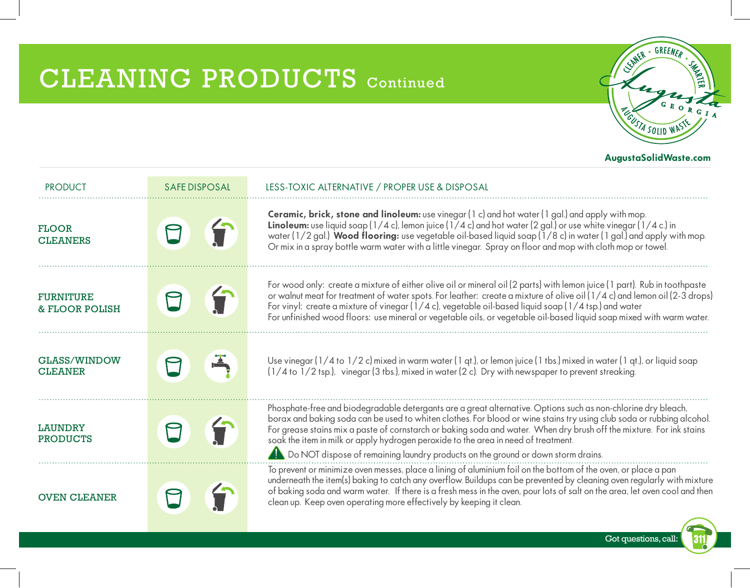## CLEANING PRODUCTS Continued



| <b>PRODUCT</b>                                | <b>SAFE DISPOSAL</b> | LESS-TOXIC ALTERNATIVE / PROPER USE & DISPOSAL                                                                                                                                                                                                                                                                                                                                                                                                                                                                                           |  |
|-----------------------------------------------|----------------------|------------------------------------------------------------------------------------------------------------------------------------------------------------------------------------------------------------------------------------------------------------------------------------------------------------------------------------------------------------------------------------------------------------------------------------------------------------------------------------------------------------------------------------------|--|
| <b>FLOOR</b><br><b>CLEANERS</b>               | $\sqrt{2}$           | Ceramic, brick, stone and linoleum: use vinegar (1 c) and hot water (1 gal.) and apply with mop.<br><b>Linoleum:</b> use liquid soap ( $1/4$ c), lemon juice ( $1/4$ c) and hot water (2 gal.) or use white vinegar ( $1/4$ c.) in<br>water ( $1/2$ gal.) Wood flooring: use vegetable oil-based liquid soap ( $1/8$ c) in water (1 gal.) and apply with mop.<br>Or mix in a spray bottle warm water with a little vinegar. Spray on floor and mop with cloth mop or towel.                                                              |  |
| <b>FURNITURE</b><br><b>&amp; FLOOR POLISH</b> |                      | For wood only: create a mixture of either olive oil or mineral oil (2 parts) with lemon juice (1 part). Rub in toothpaste<br>or walnut meat for treatment of water spots. For leather: create a mixture of olive oil (1/4 c) and lemon oil (2-3 drops)<br>For vinyl: create a mixture of vinegar $(1/4 c)$ , vegetable oil-based liquid soap $(1/4 \text{ tsp.})$ and water<br>For unfinished wood floors: use mineral or vegetable oils, or vegetable oil-based liquid soap mixed with warm water.                                      |  |
| GLASS/WINDOW<br><b>CLEANER</b>                |                      | Use vinegar (1/4 to 1/2 c) mixed in warm water (1 gt.), or lemon juice (1 tbs.) mixed in water (1 gt.), or liquid soap<br>$(1/4$ to $1/2$ tsp.), vinegar (3 tbs.), mixed in water (2 c). Dry with newspaper to prevent streaking.                                                                                                                                                                                                                                                                                                        |  |
| <b>LAUNDRY</b><br><b>PRODUCTS</b>             |                      | Phosphate-free and biodegradable detergants are a great alternative. Options such as non-chlorine dry bleach,<br>borax and baking soda can be used to whiten clothes. For blood or wine stains try using club soda or rubbing alcohol.<br>For grease stains mix a paste of cornstarch or baking soda and water. When dry brush off the mixture. For ink stains<br>soak the item in milk or apply hydrogen peroxide to the area in need of treatment.<br>Do NOT dispose of remaining laundry products on the ground or down storm drains. |  |
| <b>OVEN CLEANER</b>                           |                      | To prevent or minimize oven messes, place a lining of aluminium foil on the bottom of the oven, or place a pan<br>underneath the item(s) baking to catch any overflow. Buildups can be prevented by cleaning oven regularly with mixture<br>of baking soda and warm water. If there is a fresh mess in the oven, pour lots of salt on the area, let oven cool and then<br>clean up. Keep oven operating more effectively by keeping it clean.                                                                                            |  |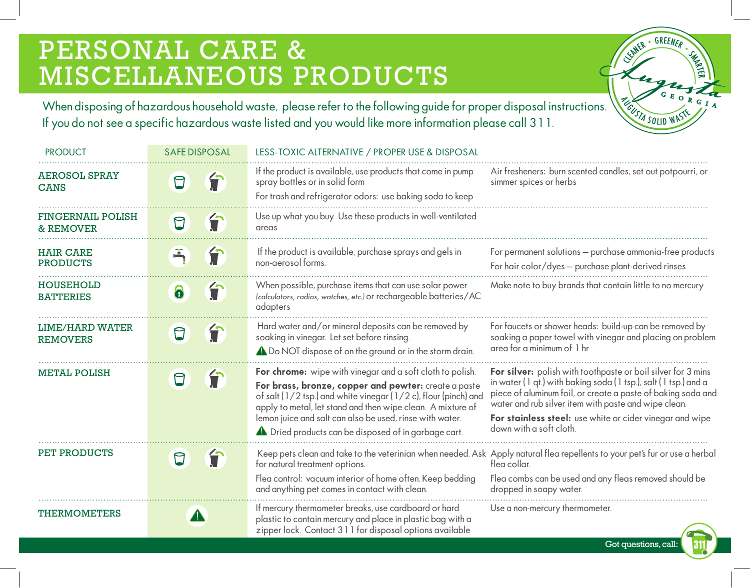### PERSONAL CARE & MISCELLANEOUS PRODUCTS

SUNER · GREENER · SEE **PECUSTA SOLID WASTE** 

Got questions, call:

 $311$ 

When disposing of hazardous household waste, please refer to the following guide for proper disposal instructions. If you do not see a specific hazardous waste listed and you would like more information please call 311.

| <b>PRODUCT</b>                                   | <b>SAFE DISPOSAL</b>   | LESS-TOXIC ALTERNATIVE / PROPER USE & DISPOSAL                                                                                                                                                                                                                                                                                                                                 |                                                                                                                                                                                                                                                                                                                                                |
|--------------------------------------------------|------------------------|--------------------------------------------------------------------------------------------------------------------------------------------------------------------------------------------------------------------------------------------------------------------------------------------------------------------------------------------------------------------------------|------------------------------------------------------------------------------------------------------------------------------------------------------------------------------------------------------------------------------------------------------------------------------------------------------------------------------------------------|
| <b>AEROSOL SPRAY</b><br><b>CANS</b>              | 宁                      | If the product is available, use products that come in pump<br>spray bottles or in solid form<br>For trash and refrigerator odors: use baking soda to keep                                                                                                                                                                                                                     | Air fresheners: burn scented candles, set out potpourri, or<br>simmer spices or herbs                                                                                                                                                                                                                                                          |
| <b>FINGERNAIL POLISH</b><br><b>&amp; REMOVER</b> | 宁                      | Use up what you buy. Use these products in well-ventilated<br>areas                                                                                                                                                                                                                                                                                                            |                                                                                                                                                                                                                                                                                                                                                |
| <b>HAIR CARE</b><br><b>PRODUCTS</b>              |                        | If the product is available, purchase sprays and gels in<br>non-aerosol forms.                                                                                                                                                                                                                                                                                                 | For permanent solutions - purchase ammonia-free products<br>For hair color/dyes - purchase plant-derived rinses                                                                                                                                                                                                                                |
| <b>HOUSEHOLD</b><br><b>BATTERIES</b>             | 宁<br>6                 | When possible, purchase items that can use solar power<br>(calculators, radios, watches, etc.) or rechargeable batteries/AC<br>adapters                                                                                                                                                                                                                                        | Make note to buy brands that contain little to no mercury                                                                                                                                                                                                                                                                                      |
| <b>LIME/HARD WATER</b><br><b>REMOVERS</b>        | f<br>$\bm{\mathsf{D}}$ | Hard water and/or mineral deposits can be removed by<br>soaking in vinegar. Let set before rinsing.<br>A Do NOT dispose of on the ground or in the storm drain.                                                                                                                                                                                                                | For faucets or shower heads: build-up can be removed by<br>soaking a paper towel with vinegar and placing on problem<br>area for a minimum of 1 hr                                                                                                                                                                                             |
| <b>METAL POLISH</b>                              |                        | For chrome: wipe with vinegar and a soft cloth to polish.<br>For brass, bronze, copper and pewter: create a paste<br>of salt (1/2 tsp.) and white vinegar (1/2 c), flour (pinch) and<br>apply to metal, let stand and then wipe clean. A mixture of<br>lemon juice and salt can also be used, rinse with water.<br><b>A</b> Dried products can be disposed of in garbage cart. | For silver: polish with toothpaste or boil silver for 3 mins<br>in water (1 qt.) with baking soda (1 tsp.), salt (1 tsp.) and a<br>piece of aluminum foil, or create a paste of baking soda and<br>water and rub silver item with paste and wipe clean.<br>For stainless steel: use white or cider vinegar and wipe<br>down with a soft cloth. |
| <b>PET PRODUCTS</b>                              | T                      | Keep pets clean and take to the veterinian when needed. Ask Apply natural flea repellents to your pet's fur or use a herbal<br>for natural treatment options.<br>Flea control: vacuum interior of home often. Keep bedding<br>and anything pet comes in contact with clean.                                                                                                    | fleg collar.<br>Flea combs can be used and any fleas removed should be<br>dropped in soapy water.                                                                                                                                                                                                                                              |
| <b>THERMOMETERS</b>                              | $\blacktriangle$       | If mercury thermometer breaks, use cardboard or hard<br>plastic to contain mercury and place in plastic bag with a<br>zipper lock. Contact 311 for disposal options available                                                                                                                                                                                                  | Use a non-mercury thermometer.                                                                                                                                                                                                                                                                                                                 |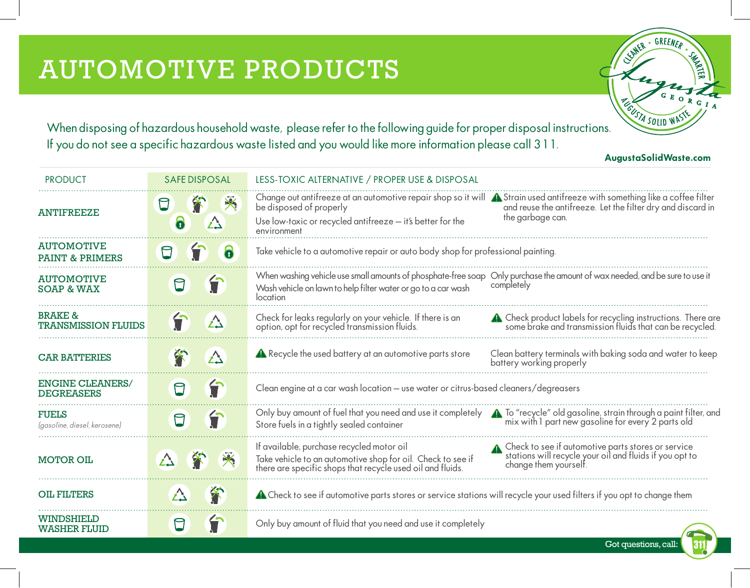CENTER - GREENER - SING When disposing of hazardous household waste, please refer to the following guide for proper disposal instructions.  $\frac{V_{\text{G}}/X_{\text{SOLID}} \leq V_{\text{SOLID}}}{V_{\text{SOLID}}}$  $G_I$ If you do not see a specific hazardous waste listed and you would like more information please call 311.

AugustaSolidWaste.com

| <b>PRODUCT</b>                                   | <b>SAFE DISPOSAL</b>        | LESS-TOXIC ALTERNATIVE / PROPER USE & DISPOSAL                                                                                                                                                                                                                                                                                  |
|--------------------------------------------------|-----------------------------|---------------------------------------------------------------------------------------------------------------------------------------------------------------------------------------------------------------------------------------------------------------------------------------------------------------------------------|
| <b>ANTIFREEZE</b>                                | 米<br>$\bm{\boxminus}$<br>Δ  | Change out antifreeze at an automotive repair shop so it will $\bigwedge$ Strain used antifreeze with something like a coffee filter<br>and reuse the antifreeze. Let the filter dry and discard in<br>be disposed of properly<br>the garbage can.<br>Use low-toxic or recycled antifreeze - it's better for the<br>environment |
| <b>AUTOMOTIVE</b><br>PAINT & PRIMERS             | $\ddot{\mathbf{o}}$         | Take vehicle to a automotive repair or auto body shop for professional painting.                                                                                                                                                                                                                                                |
| <b>AUTOMOTIVE</b><br><b>SOAP &amp; WAX</b>       | T<br>$\Box$                 | When washing vehicle use small amounts of phosphate-free soap Only purchase the amount of wax needed, and be sure to use it<br>completely<br>Wash vehicle on lawn to help filter water or go to a car wash<br>location                                                                                                          |
| <b>BRAKE &amp;</b><br><b>TRANSMISSION FLUIDS</b> | $\triangle$                 | Check for leaks regularly on your vehicle. If there is an<br>option, opt for recycled transmission fluids.<br>4 Check product labels for recycling instructions. There are<br>some brake and transmission fluids that can be recycled.                                                                                          |
| <b>CAR BATTERIES</b>                             | $\bigwedge$                 | Recycle the used battery at an automotive parts store<br>Clean battery terminals with baking soda and water to keep<br>battery working properly                                                                                                                                                                                 |
| <b>ENGINE CLEANERS/</b><br><b>DEGREASERS</b>     | 令<br>$\boxdot$              | Clean engine at a car wash location - use water or citrus-based cleaners/degreasers                                                                                                                                                                                                                                             |
| <b>FUELS</b><br>(gasoline, diesel, kerosene)     | 行<br>$\bm{\mathsf{\Omega}}$ | To "recycle" old gasoline, strain through a paint filter, and<br>mix with 1 part new gasoline for every 2 parts old<br>Only buy amount of fuel that you need and use it completely<br>Store fuels in a tightly sealed container                                                                                                 |
| <b>MOTOR OIL</b>                                 | X<br>$\triangle$            | If available, purchase recycled motor oil<br>▲ Check to see if automotive parts stores or service<br>stations will recycle your oil and fluids if you opt to<br>Take vehicle to an automotive shop for oil. Check to see if<br>change them yourself.<br>there are specific shops that recycle used oil and fluids.              |
| <b>OIL FILTERS</b>                               | 谷<br>Δ                      | A Check to see if automotive parts stores or service stations will recycle your used filters if you opt to change them                                                                                                                                                                                                          |
| WINDSHIELD<br><b>WASHER FLUID</b>                | $\mathsf E$                 | Only buy amount of fluid that you need and use it completely                                                                                                                                                                                                                                                                    |

Got questions, call: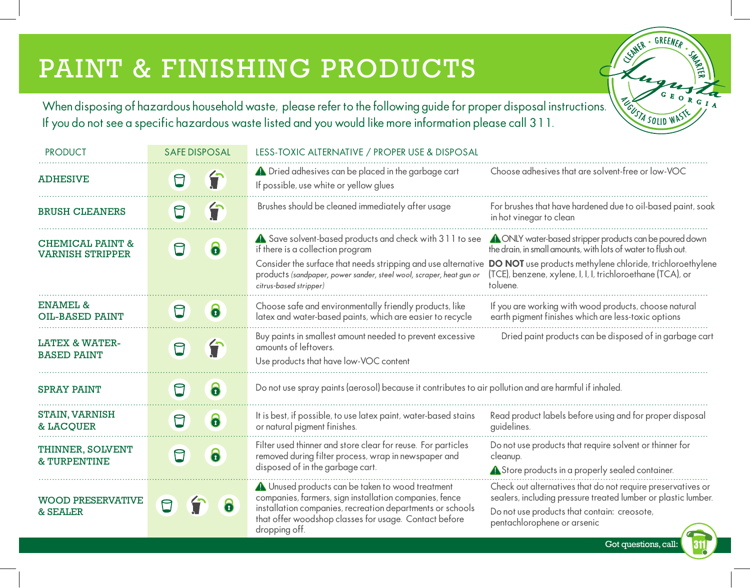# PAINT & FINISHING PRODUCTS

When disposing of hazardous household waste, please refer to the following guide for proper disposal instructions. If you do not see a specific hazardous waste listed and you would like more information please call 311.

| <b>PRODUCT</b>                                         | <b>SAFE DISPOSAL</b> |   | LESS-TOXIC ALTERNATIVE / PROPER USE & DISPOSAL                                                                                                                                                                                                                |                                                                                                                                                                                                                                                                        |
|--------------------------------------------------------|----------------------|---|---------------------------------------------------------------------------------------------------------------------------------------------------------------------------------------------------------------------------------------------------------------|------------------------------------------------------------------------------------------------------------------------------------------------------------------------------------------------------------------------------------------------------------------------|
| <b>ADHESIVE</b>                                        | ⊟                    | 宁 | <b>A</b> Dried adhesives can be placed in the garbage cart<br>If possible, use white or yellow glues                                                                                                                                                          | Choose adhesives that are solvent-free or low-VOC                                                                                                                                                                                                                      |
| <b>BRUSH CLEANERS</b>                                  | ⊟                    | f | Brushes should be cleaned immediately after usage                                                                                                                                                                                                             | For brushes that have hardened due to oil-based paint, soak<br>in hot vinegar to clean                                                                                                                                                                                 |
| <b>CHEMICAL PAINT &amp;</b><br><b>VARNISH STRIPPER</b> | $\bm{\mathsf{D}}$    | 6 | A Save solvent-based products and check with 311 to see<br>if there is a collection program<br>Consider the surface that needs stripping and use alternative<br>products (sandpaper, power sander, steel wool, scraper, heat gun or<br>citrus-based stripper) | <b>A</b> ONLY water-based stripper products can be poured down<br>the drain, in small amounts, with lots of water to flush out.<br>DO NOT use products methylene chloride, trichloroethylene<br>(TCE), benzene, xylene, I, I, I, trichloroethane (TCA), or<br>toluene. |
| <b>ENAMEL &amp;</b><br><b>OIL-BASED PAINT</b>          | A                    | 6 | Choose safe and environmentally friendly products, like<br>latex and water-based paints, which are easier to recycle                                                                                                                                          | If you are working with wood products, choose natural<br>earth pigment finishes which are less-toxic options                                                                                                                                                           |
| <b>LATEX &amp; WATER-</b><br><b>BASED PAINT</b>        | $\Box$               | 台 | Buy paints in smallest amount needed to prevent excessive<br>amounts of leftovers.<br>Use products that have low-VOC content                                                                                                                                  | Dried paint products can be disposed of in garbage cart                                                                                                                                                                                                                |
| <b>SPRAY PAINT</b>                                     | A                    | 6 | Do not use spray paints (aerosol) because it contributes to air pollution and are harmful if inhaled.                                                                                                                                                         |                                                                                                                                                                                                                                                                        |
| <b>STAIN, VARNISH</b><br><b>&amp; LACQUER</b>          | $\Box$               | 6 | It is best, if possible, to use latex paint, water-based stains<br>or natural pigment finishes.                                                                                                                                                               | Read product labels before using and for proper disposal<br>guidelines.                                                                                                                                                                                                |
| THINNER, SOLVENT<br><b>&amp; TURPENTINE</b>            | $\bm{\mathsf{D}}$    | 6 | Filter used thinner and store clear for reuse. For particles<br>removed during filter process, wrap in newspaper and<br>disposed of in the garbage cart.                                                                                                      | Do not use products that require solvent or thinner for<br>cleanup.<br>Store products in a properly sealed container.                                                                                                                                                  |
| <b>WOOD PRESERVATIVE</b><br>& SEALER                   | $\Box$               | 6 | 4 Unused products can be taken to wood treatment<br>companies, farmers, sign installation companies, fence<br>installation companies, recreation departments or schools<br>that offer woodshop classes for usage. Contact before<br>dropping off.             | Check out alternatives that do not require preservatives or<br>sealers, including pressure treated lumber or plastic lumber.<br>Do not use products that contain: creosote,<br>pentachlorophene or arsenic                                                             |

Got questions, call:

1311

SUNER - GREENER -

**PECUSTA SOLID WASTE**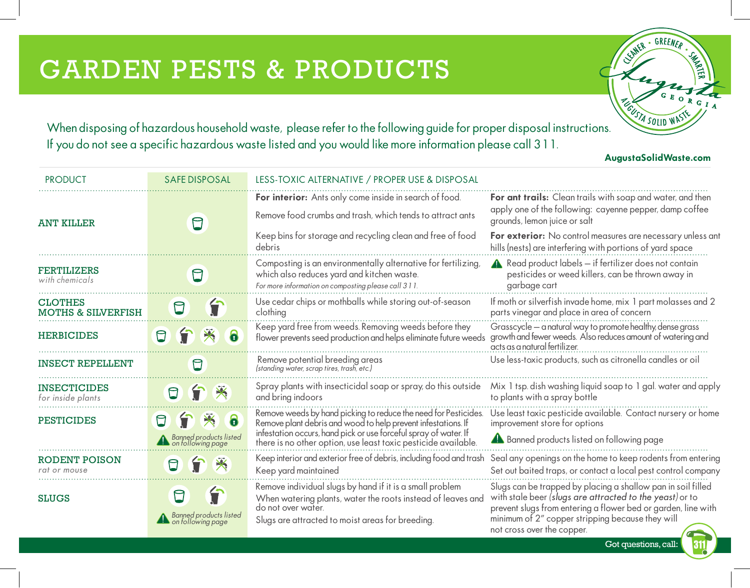# GARDEN PESTS & PRODUCTS

If you do not see a specific hazardous waste listed and you would like more information please call 311.

CENTER - GREENER - SING When disposing of hazardous household waste, please refer to the following guide for proper disposal instructions.

AugustaSolidWaste.com

| <b>PRODUCT</b>                                  | <b>SAFE DISPOSAL</b>                                 | LESS-TOXIC ALTERNATIVE / PROPER USE & DISPOSAL                                                                                                                                                    |                                                                                                                                                                                                                                                                             |
|-------------------------------------------------|------------------------------------------------------|---------------------------------------------------------------------------------------------------------------------------------------------------------------------------------------------------|-----------------------------------------------------------------------------------------------------------------------------------------------------------------------------------------------------------------------------------------------------------------------------|
| <b>ANT KILLER</b>                               |                                                      | For interior: Ants only come inside in search of food.<br>Remove food crumbs and trash, which tends to attract ants                                                                               | For ant trails: Clean trails with soap and water, and then<br>apply one of the following: cayenne pepper, damp coffee<br>grounds, lemon juice or salt                                                                                                                       |
|                                                 |                                                      | Keep bins for storage and recycling clean and free of food<br>debris                                                                                                                              | For exterior: No control measures are necessary unless ant<br>hills (nests) are interfering with portions of yard space                                                                                                                                                     |
| <b>FERTILIZERS</b><br>with chemicals            | ⊟                                                    | Composting is an environmentally alternative for fertilizing,<br>which also reduces yard and kitchen waste.<br>For more information on composting please call 311.                                | $\triangle$ Read product labels $-$ if fertilizer does not contain<br>pesticides or weed killers, can be thrown away in<br>garbage cart                                                                                                                                     |
| <b>CLOTHES</b><br><b>MOTHS &amp; SILVERFISH</b> |                                                      | Use cedar chips or mothballs while storing out-of-season<br>clothing                                                                                                                              | If moth or silverfish invade home, mix 1 part molasses and 2<br>parts vinegar and place in area of concern                                                                                                                                                                  |
| <b>HERBICIDES</b>                               | $\Box$<br>6                                          | Keep yard free from weeds. Removing weeds before they<br>flower prevents seed production and helps eliminate future weeds                                                                         | Grasscycle - a natural way to promote healthy, dense grass<br>growth and fewer weeds. Also reduces amount of watering and<br>acts as a natural fertilizer.                                                                                                                  |
| <b>INSECT REPELLENT</b>                         | $\Box$                                               | Remove potential breeding areas<br>(standing water, scrap tires, trash, etc.)                                                                                                                     | Use less-toxic products, such as citronella candles or oil                                                                                                                                                                                                                  |
| <b>INSECTICIDES</b><br>for inside plants        | T<br>$\Box$<br>$\blacktriangleright$                 | Spray plants with insecticidal soap or spray, do this outside<br>and bring indoors                                                                                                                | Mix 1 tsp. dish washing liquid soap to 1 gal. water and apply<br>to plants with a spray bottle                                                                                                                                                                              |
| <b>PESTICIDES</b>                               | 6<br>★<br>                                           | Remove weeds by hand picking to reduce the need for Pesticides.<br>Remove plant debris and wood to help prevent infestations. If                                                                  | Use least toxic pesticide available. Contact nursery or home<br>improvement store for options                                                                                                                                                                               |
|                                                 | <b>A</b> Banned products listed<br>on following page | infestation occurs, hand pick or use forceful spray of water. If<br>there is no other option, use least toxic pesticide available.                                                                | <b>A</b> Banned products listed on following page                                                                                                                                                                                                                           |
| RODENT POISON<br>rat or mouse                   | $\frac{1}{\sqrt{2}}$                                 | Keep interior and exterior free of debris, including food and trash<br>Keep yard maintained                                                                                                       | Seal any openings on the home to keep rodents from entering<br>Set out baited traps, or contact a local pest control company                                                                                                                                                |
| <b>SLUGS</b>                                    | Banned products listed<br>on following page          | Remove individual slugs by hand if it is a small problem<br>When watering plants, water the roots instead of leaves and<br>do not over water.<br>Slugs are attracted to moist areas for breeding. | Slugs can be trapped by placing a shallow pan in soil filled<br>with stale beer (slugs are attracted to the yeast) or to<br>prevent slugs from entering a flower bed or garden, line with<br>minimum of 2" copper stripping because they will<br>not cross over the copper. |

Got questions, call: